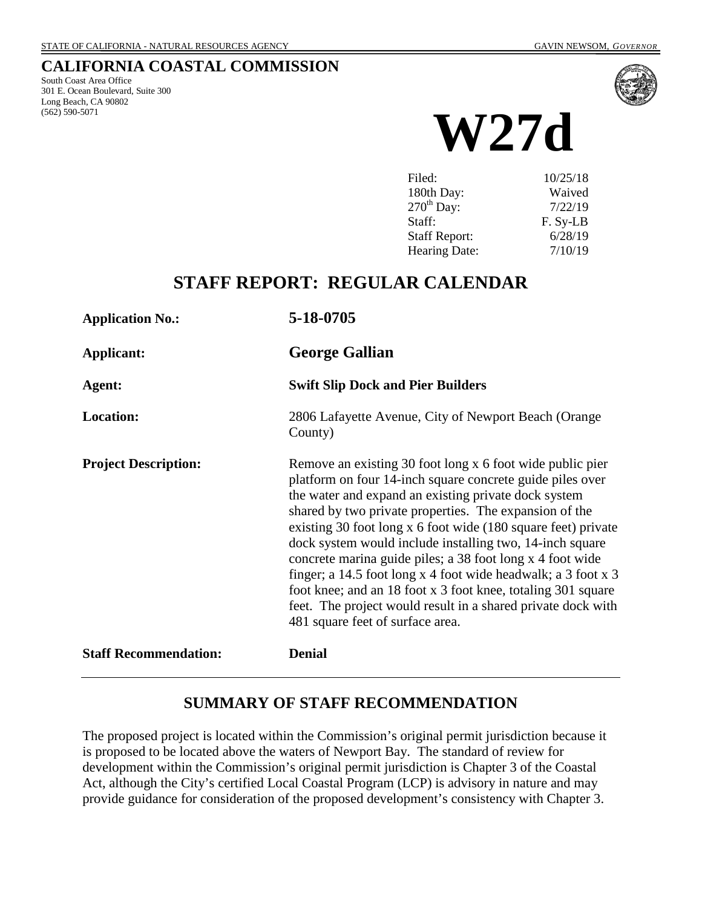#### **CALIFORNIA COASTAL COMMISSION**

South Coast Area Office 301 E. Ocean Boulevard, Suite 300 Long Beach, CA 90802 (562) 590-5071



**W27d**

| Filed:                 | 10/25/18 |
|------------------------|----------|
| 180th Day:             | Waived   |
| $270^{\text{th}}$ Day: | 7/22/19  |
| Staff:                 | F. Sy-LB |
| <b>Staff Report:</b>   | 6/28/19  |
| <b>Hearing Date:</b>   | 7/10/19  |
|                        |          |

## **STAFF REPORT: REGULAR CALENDAR**

| <b>Application No.:</b>      | 5-18-0705                                                                                                                                                                                                                                                                                                                                                                                                                                                                                                                                                                                                                                                               |
|------------------------------|-------------------------------------------------------------------------------------------------------------------------------------------------------------------------------------------------------------------------------------------------------------------------------------------------------------------------------------------------------------------------------------------------------------------------------------------------------------------------------------------------------------------------------------------------------------------------------------------------------------------------------------------------------------------------|
| Applicant:                   | <b>George Gallian</b>                                                                                                                                                                                                                                                                                                                                                                                                                                                                                                                                                                                                                                                   |
| Agent:                       | <b>Swift Slip Dock and Pier Builders</b>                                                                                                                                                                                                                                                                                                                                                                                                                                                                                                                                                                                                                                |
| <b>Location:</b>             | 2806 Lafayette Avenue, City of Newport Beach (Orange<br>County)                                                                                                                                                                                                                                                                                                                                                                                                                                                                                                                                                                                                         |
| <b>Project Description:</b>  | Remove an existing 30 foot long x 6 foot wide public pier<br>platform on four 14-inch square concrete guide piles over<br>the water and expand an existing private dock system<br>shared by two private properties. The expansion of the<br>existing 30 foot long x 6 foot wide (180 square feet) private<br>dock system would include installing two, 14-inch square<br>concrete marina guide piles; a 38 foot long x 4 foot wide<br>finger; a 14.5 foot long x 4 foot wide headwalk; a 3 foot x 3<br>foot knee; and an 18 foot x 3 foot knee, totaling 301 square<br>feet. The project would result in a shared private dock with<br>481 square feet of surface area. |
| <b>Staff Recommendation:</b> | <b>Denial</b>                                                                                                                                                                                                                                                                                                                                                                                                                                                                                                                                                                                                                                                           |

### **SUMMARY OF STAFF RECOMMENDATION**

The proposed project is located within the Commission's original permit jurisdiction because it is proposed to be located above the waters of Newport Bay. The standard of review for development within the Commission's original permit jurisdiction is Chapter 3 of the Coastal Act, although the City's certified Local Coastal Program (LCP) is advisory in nature and may provide guidance for consideration of the proposed development's consistency with Chapter 3.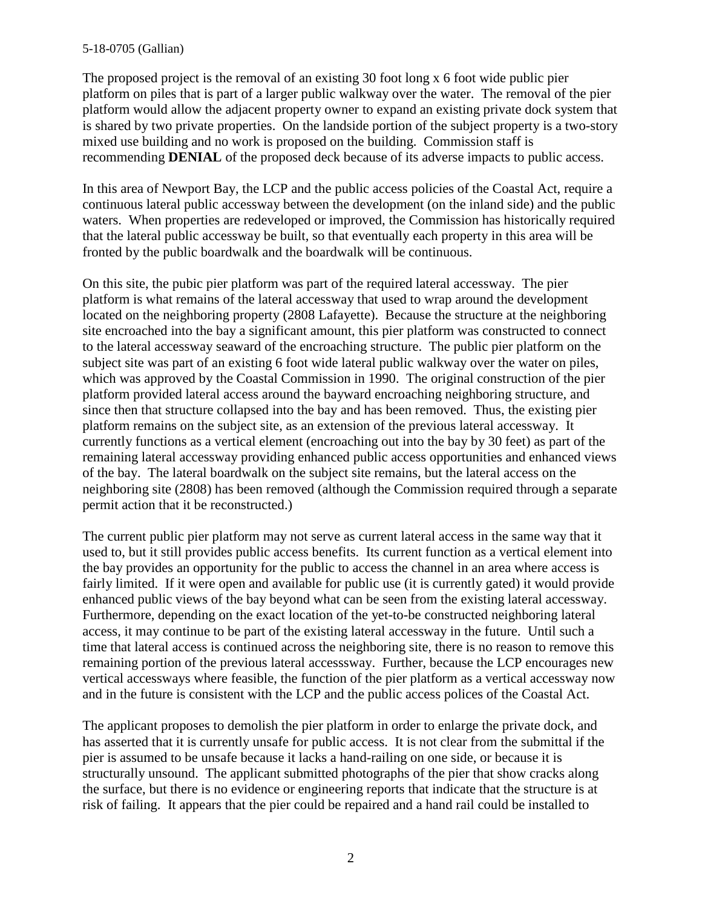#### 5-18-0705 (Gallian)

The proposed project is the removal of an existing 30 foot long x 6 foot wide public pier platform on piles that is part of a larger public walkway over the water. The removal of the pier platform would allow the adjacent property owner to expand an existing private dock system that is shared by two private properties. On the landside portion of the subject property is a two-story mixed use building and no work is proposed on the building. Commission staff is recommending **DENIAL** of the proposed deck because of its adverse impacts to public access.

In this area of Newport Bay, the LCP and the public access policies of the Coastal Act, require a continuous lateral public accessway between the development (on the inland side) and the public waters. When properties are redeveloped or improved, the Commission has historically required that the lateral public accessway be built, so that eventually each property in this area will be fronted by the public boardwalk and the boardwalk will be continuous.

On this site, the pubic pier platform was part of the required lateral accessway. The pier platform is what remains of the lateral accessway that used to wrap around the development located on the neighboring property (2808 Lafayette). Because the structure at the neighboring site encroached into the bay a significant amount, this pier platform was constructed to connect to the lateral accessway seaward of the encroaching structure. The public pier platform on the subject site was part of an existing 6 foot wide lateral public walkway over the water on piles, which was approved by the Coastal Commission in 1990. The original construction of the pier platform provided lateral access around the bayward encroaching neighboring structure, and since then that structure collapsed into the bay and has been removed. Thus, the existing pier platform remains on the subject site, as an extension of the previous lateral accessway. It currently functions as a vertical element (encroaching out into the bay by 30 feet) as part of the remaining lateral accessway providing enhanced public access opportunities and enhanced views of the bay. The lateral boardwalk on the subject site remains, but the lateral access on the neighboring site (2808) has been removed (although the Commission required through a separate permit action that it be reconstructed.)

The current public pier platform may not serve as current lateral access in the same way that it used to, but it still provides public access benefits. Its current function as a vertical element into the bay provides an opportunity for the public to access the channel in an area where access is fairly limited. If it were open and available for public use (it is currently gated) it would provide enhanced public views of the bay beyond what can be seen from the existing lateral accessway. Furthermore, depending on the exact location of the yet-to-be constructed neighboring lateral access, it may continue to be part of the existing lateral accessway in the future. Until such a time that lateral access is continued across the neighboring site, there is no reason to remove this remaining portion of the previous lateral accesssway. Further, because the LCP encourages new vertical accessways where feasible, the function of the pier platform as a vertical accessway now and in the future is consistent with the LCP and the public access polices of the Coastal Act.

The applicant proposes to demolish the pier platform in order to enlarge the private dock, and has asserted that it is currently unsafe for public access. It is not clear from the submittal if the pier is assumed to be unsafe because it lacks a hand-railing on one side, or because it is structurally unsound. The applicant submitted photographs of the pier that show cracks along the surface, but there is no evidence or engineering reports that indicate that the structure is at risk of failing. It appears that the pier could be repaired and a hand rail could be installed to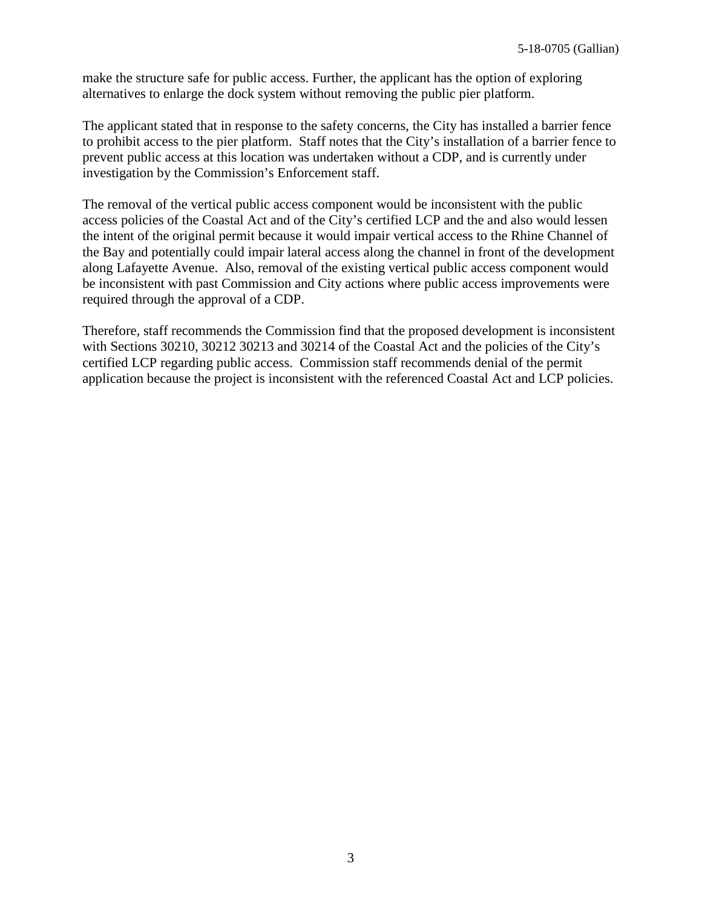make the structure safe for public access. Further, the applicant has the option of exploring alternatives to enlarge the dock system without removing the public pier platform.

The applicant stated that in response to the safety concerns, the City has installed a barrier fence to prohibit access to the pier platform. Staff notes that the City's installation of a barrier fence to prevent public access at this location was undertaken without a CDP, and is currently under investigation by the Commission's Enforcement staff.

The removal of the vertical public access component would be inconsistent with the public access policies of the Coastal Act and of the City's certified LCP and the and also would lessen the intent of the original permit because it would impair vertical access to the Rhine Channel of the Bay and potentially could impair lateral access along the channel in front of the development along Lafayette Avenue. Also, removal of the existing vertical public access component would be inconsistent with past Commission and City actions where public access improvements were required through the approval of a CDP.

Therefore, staff recommends the Commission find that the proposed development is inconsistent with Sections 30210, 30212 30213 and 30214 of the Coastal Act and the policies of the City's certified LCP regarding public access. Commission staff recommends denial of the permit application because the project is inconsistent with the referenced Coastal Act and LCP policies.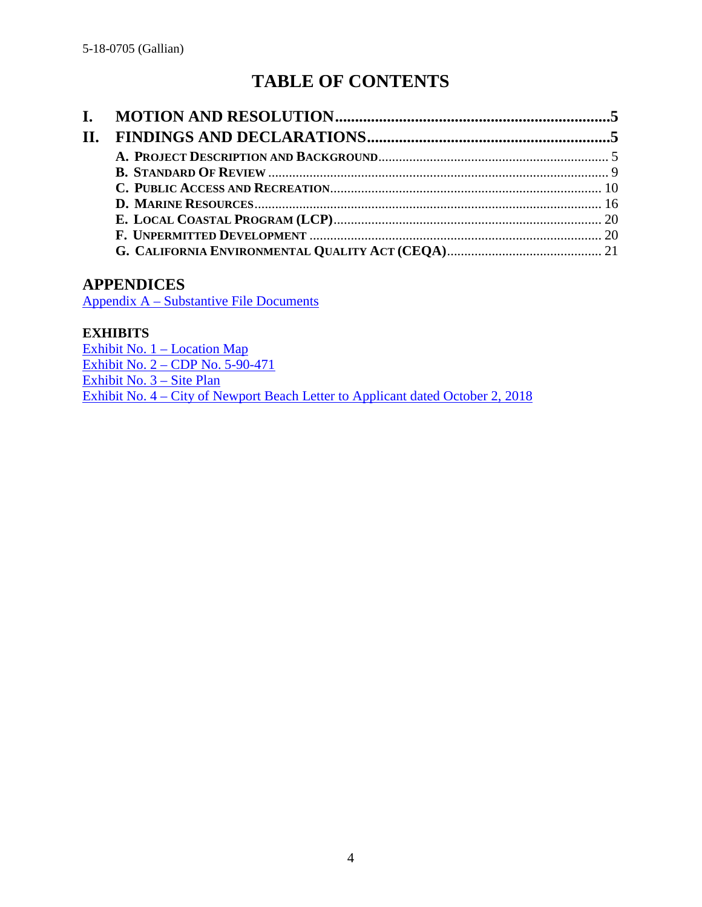# **TABLE OF CONTENTS**

| II. |  |
|-----|--|
|     |  |
|     |  |
|     |  |
|     |  |
|     |  |
|     |  |
|     |  |

#### **APPENDICES**

Appendix A – [Substantive File Documents](#page-21-0)

#### **EXHIBITS**

[Exhibit No. 1 –](https://documents.coastal.ca.gov/reports/2019/7/W27d/W27d-7-2019-exhibits.pdf) Location Map Exhibit No. 2 – [CDP No. 5-90-471](https://documents.coastal.ca.gov/reports/2019/7/W27d/W27d-7-2019-exhibits.pdf) [Exhibit No. 3](https://documents.coastal.ca.gov/reports/2019/7/W27d/W27d-7-2019-exhibits.pdf) – Site Plan Exhibit No. 4 – [City of Newport Beach Letter to Applicant dated October 2, 2018](https://documents.coastal.ca.gov/reports/2019/7/W27d/W27d-7-2019-exhibits.pdf)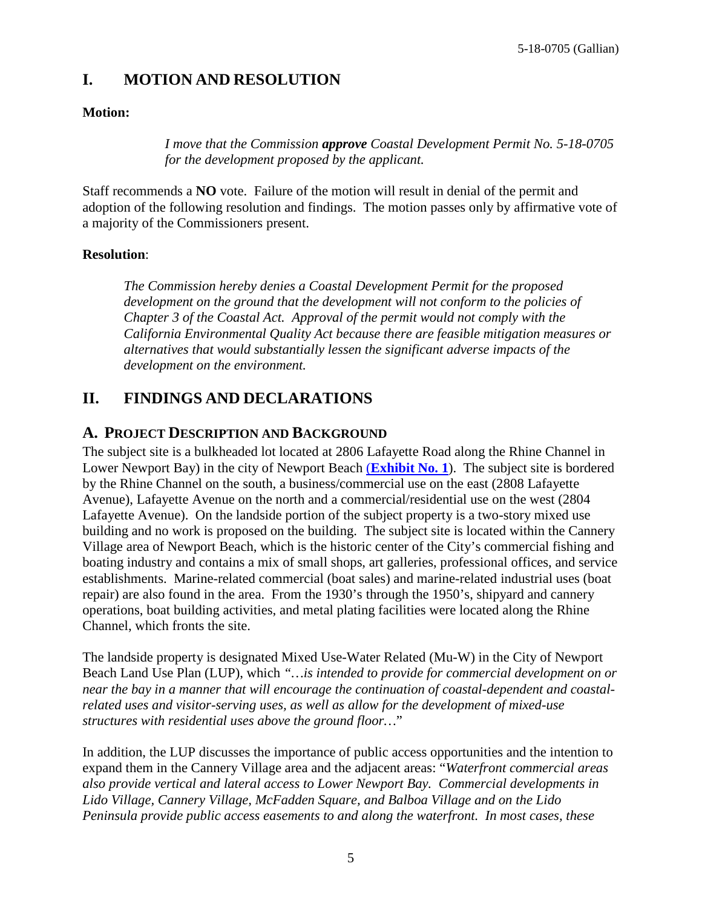## <span id="page-4-0"></span>**I. MOTION AND RESOLUTION**

#### **Motion:**

*I move that the Commission approve Coastal Development Permit No. 5-18-0705 for the development proposed by the applicant.*

Staff recommends a **NO** vote. Failure of the motion will result in denial of the permit and adoption of the following resolution and findings. The motion passes only by affirmative vote of a majority of the Commissioners present.

#### **Resolution**:

*The Commission hereby denies a Coastal Development Permit for the proposed*  development on the ground that the development will not conform to the policies of *Chapter 3 of the Coastal Act. Approval of the permit would not comply with the California Environmental Quality Act because there are feasible mitigation measures or alternatives that would substantially lessen the significant adverse impacts of the development on the environment.*

## <span id="page-4-1"></span>**II. FINDINGS AND DECLARATIONS**

### <span id="page-4-2"></span>**A. PROJECT DESCRIPTION AND BACKGROUND**

The subject site is a bulkheaded lot located at 2806 Lafayette Road along the Rhine Channel in Lower Newport Bay) in the city of Newport Beach (**[Exhibit No. 1](https://documents.coastal.ca.gov/reports/2019/7/W27d/W27d-7-2019-exhibits.pdf)**). The subject site is bordered by the Rhine Channel on the south, a business/commercial use on the east (2808 Lafayette Avenue), Lafayette Avenue on the north and a commercial/residential use on the west (2804 Lafayette Avenue). On the landside portion of the subject property is a two-story mixed use building and no work is proposed on the building. The subject site is located within the Cannery Village area of Newport Beach, which is the historic center of the City's commercial fishing and boating industry and contains a mix of small shops, art galleries, professional offices, and service establishments. Marine-related commercial (boat sales) and marine-related industrial uses (boat repair) are also found in the area. From the 1930's through the 1950's, shipyard and cannery operations, boat building activities, and metal plating facilities were located along the Rhine Channel, which fronts the site.

The landside property is designated Mixed Use-Water Related (Mu-W) in the City of Newport Beach Land Use Plan (LUP), which *"…is intended to provide for commercial development on or near the bay in a manner that will encourage the continuation of coastal-dependent and coastalrelated uses and visitor-serving uses, as well as allow for the development of mixed-use structures with residential uses above the ground floor…*"

In addition, the LUP discusses the importance of public access opportunities and the intention to expand them in the Cannery Village area and the adjacent areas: "*Waterfront commercial areas also provide vertical and lateral access to Lower Newport Bay. Commercial developments in Lido Village, Cannery Village, McFadden Square, and Balboa Village and on the Lido Peninsula provide public access easements to and along the waterfront. In most cases, these*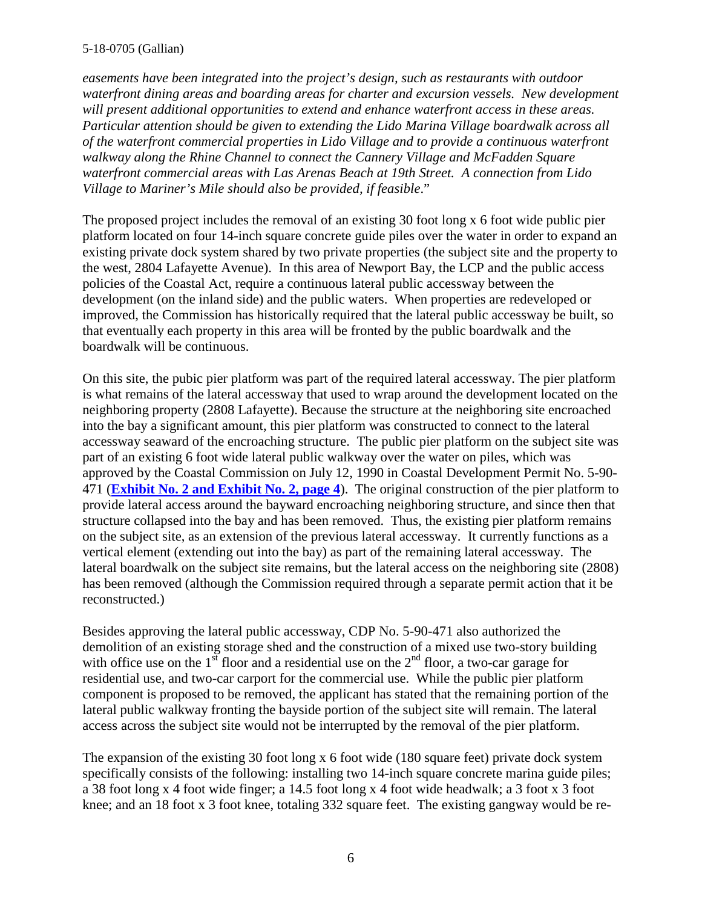#### 5-18-0705 (Gallian)

*easements have been integrated into the project's design, such as restaurants with outdoor waterfront dining areas and boarding areas for charter and excursion vessels. New development will present additional opportunities to extend and enhance waterfront access in these areas. Particular attention should be given to extending the Lido Marina Village boardwalk across all of the waterfront commercial properties in Lido Village and to provide a continuous waterfront walkway along the Rhine Channel to connect the Cannery Village and McFadden Square waterfront commercial areas with Las Arenas Beach at 19th Street. A connection from Lido Village to Mariner's Mile should also be provided, if feasible*."

The proposed project includes the removal of an existing 30 foot long x 6 foot wide public pier platform located on four 14-inch square concrete guide piles over the water in order to expand an existing private dock system shared by two private properties (the subject site and the property to the west, 2804 Lafayette Avenue). In this area of Newport Bay, the LCP and the public access policies of the Coastal Act, require a continuous lateral public accessway between the development (on the inland side) and the public waters. When properties are redeveloped or improved, the Commission has historically required that the lateral public accessway be built, so that eventually each property in this area will be fronted by the public boardwalk and the boardwalk will be continuous.

On this site, the pubic pier platform was part of the required lateral accessway. The pier platform is what remains of the lateral accessway that used to wrap around the development located on the neighboring property (2808 Lafayette). Because the structure at the neighboring site encroached into the bay a significant amount, this pier platform was constructed to connect to the lateral accessway seaward of the encroaching structure. The public pier platform on the subject site was part of an existing 6 foot wide lateral public walkway over the water on piles, which was approved by the Coastal Commission on July 12, 1990 in Coastal Development Permit No. 5-90- 471 (**Exhibit No. 2 [and Exhibit No. 2, page 4](https://documents.coastal.ca.gov/reports/2019/7/W27d/W27d-7-2019-exhibits.pdf)**). The original construction of the pier platform to provide lateral access around the bayward encroaching neighboring structure, and since then that structure collapsed into the bay and has been removed. Thus, the existing pier platform remains on the subject site, as an extension of the previous lateral accessway. It currently functions as a vertical element (extending out into the bay) as part of the remaining lateral accessway. The lateral boardwalk on the subject site remains, but the lateral access on the neighboring site (2808) has been removed (although the Commission required through a separate permit action that it be reconstructed.)

Besides approving the lateral public accessway, CDP No. 5-90-471 also authorized the demolition of an existing storage shed and the construction of a mixed use two-story building with office use on the  $1<sup>st</sup>$  floor and a residential use on the  $2<sup>nd</sup>$  floor, a two-car garage for residential use, and two-car carport for the commercial use. While the public pier platform component is proposed to be removed, the applicant has stated that the remaining portion of the lateral public walkway fronting the bayside portion of the subject site will remain. The lateral access across the subject site would not be interrupted by the removal of the pier platform.

The expansion of the existing 30 foot long x 6 foot wide (180 square feet) private dock system specifically consists of the following: installing two 14-inch square concrete marina guide piles; a 38 foot long x 4 foot wide finger; a 14.5 foot long x 4 foot wide headwalk; a 3 foot x 3 foot knee; and an 18 foot x 3 foot knee, totaling 332 square feet. The existing gangway would be re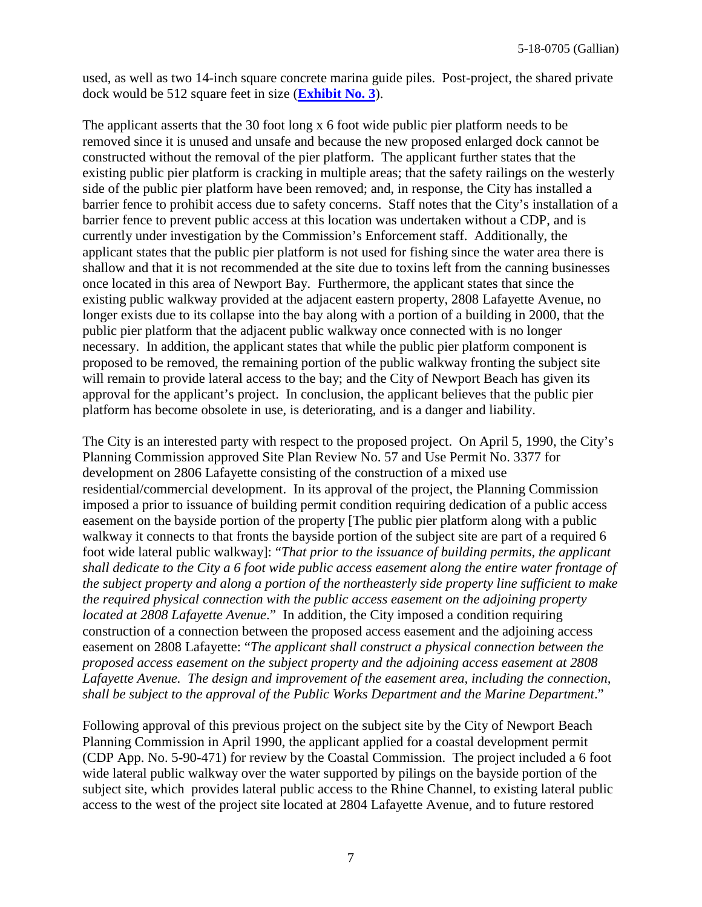used, as well as two 14-inch square concrete marina guide piles. Post-project, the shared private dock would be 512 square feet in size (**[Exhibit No. 3](https://documents.coastal.ca.gov/reports/2019/7/W27d/W27d-7-2019-exhibits.pdf)**).

The applicant asserts that the 30 foot long x 6 foot wide public pier platform needs to be removed since it is unused and unsafe and because the new proposed enlarged dock cannot be constructed without the removal of the pier platform. The applicant further states that the existing public pier platform is cracking in multiple areas; that the safety railings on the westerly side of the public pier platform have been removed; and, in response, the City has installed a barrier fence to prohibit access due to safety concerns. Staff notes that the City's installation of a barrier fence to prevent public access at this location was undertaken without a CDP, and is currently under investigation by the Commission's Enforcement staff. Additionally, the applicant states that the public pier platform is not used for fishing since the water area there is shallow and that it is not recommended at the site due to toxins left from the canning businesses once located in this area of Newport Bay. Furthermore, the applicant states that since the existing public walkway provided at the adjacent eastern property, 2808 Lafayette Avenue, no longer exists due to its collapse into the bay along with a portion of a building in 2000, that the public pier platform that the adjacent public walkway once connected with is no longer necessary. In addition, the applicant states that while the public pier platform component is proposed to be removed, the remaining portion of the public walkway fronting the subject site will remain to provide lateral access to the bay; and the City of Newport Beach has given its approval for the applicant's project. In conclusion, the applicant believes that the public pier platform has become obsolete in use, is deteriorating, and is a danger and liability.

The City is an interested party with respect to the proposed project. On April 5, 1990, the City's Planning Commission approved Site Plan Review No. 57 and Use Permit No. 3377 for development on 2806 Lafayette consisting of the construction of a mixed use residential/commercial development. In its approval of the project, the Planning Commission imposed a prior to issuance of building permit condition requiring dedication of a public access easement on the bayside portion of the property [The public pier platform along with a public walkway it connects to that fronts the bayside portion of the subject site are part of a required 6 foot wide lateral public walkway]: "*That prior to the issuance of building permits, the applicant shall dedicate to the City a 6 foot wide public access easement along the entire water frontage of the subject property and along a portion of the northeasterly side property line sufficient to make the required physical connection with the public access easement on the adjoining property located at 2808 Lafayette Avenue*." In addition, the City imposed a condition requiring construction of a connection between the proposed access easement and the adjoining access easement on 2808 Lafayette: "*The applicant shall construct a physical connection between the proposed access easement on the subject property and the adjoining access easement at 2808 Lafayette Avenue. The design and improvement of the easement area, including the connection, shall be subject to the approval of the Public Works Department and the Marine Department*."

Following approval of this previous project on the subject site by the City of Newport Beach Planning Commission in April 1990, the applicant applied for a coastal development permit (CDP App. No. 5-90-471) for review by the Coastal Commission. The project included a 6 foot wide lateral public walkway over the water supported by pilings on the bayside portion of the subject site, which provides lateral public access to the Rhine Channel, to existing lateral public access to the west of the project site located at 2804 Lafayette Avenue, and to future restored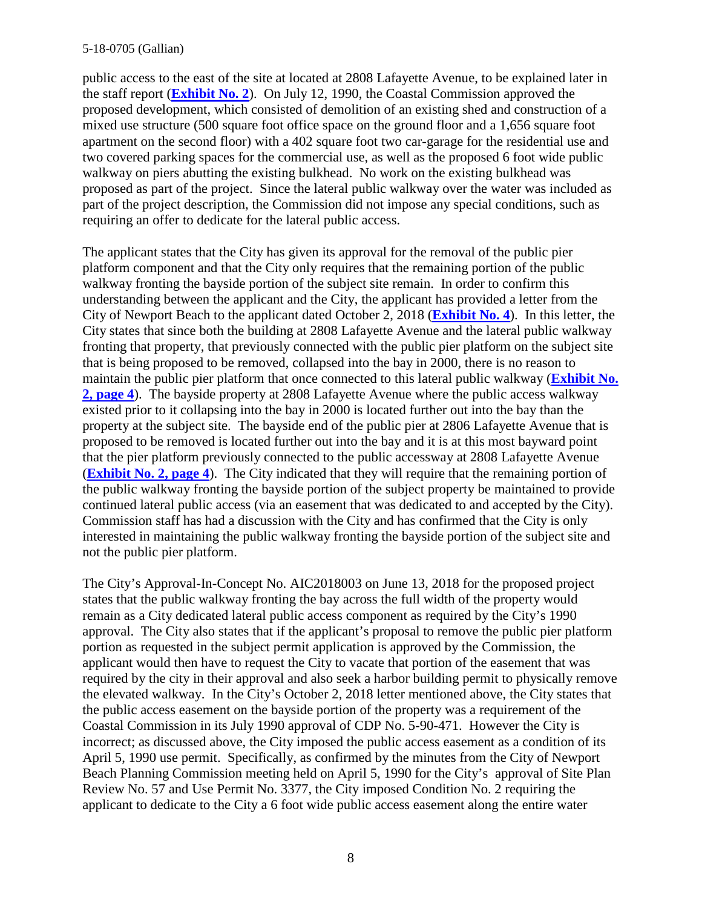public access to the east of the site at located at 2808 Lafayette Avenue, to be explained later in the staff report (**[Exhibit No. 2](https://documents.coastal.ca.gov/reports/2019/7/W27d/W27d-7-2019-exhibits.pdf)**). On July 12, 1990, the Coastal Commission approved the proposed development, which consisted of demolition of an existing shed and construction of a mixed use structure (500 square foot office space on the ground floor and a 1,656 square foot apartment on the second floor) with a 402 square foot two car-garage for the residential use and two covered parking spaces for the commercial use, as well as the proposed 6 foot wide public walkway on piers abutting the existing bulkhead. No work on the existing bulkhead was proposed as part of the project. Since the lateral public walkway over the water was included as part of the project description, the Commission did not impose any special conditions, such as requiring an offer to dedicate for the lateral public access.

The applicant states that the City has given its approval for the removal of the public pier platform component and that the City only requires that the remaining portion of the public walkway fronting the bayside portion of the subject site remain. In order to confirm this understanding between the applicant and the City, the applicant has provided a letter from the City of Newport Beach to the applicant dated October 2, 2018 (**[Exhibit No. 4](https://documents.coastal.ca.gov/reports/2019/7/W27d/W27d-7-2019-exhibits.pdf)**). In this letter, the City states that since both the building at 2808 Lafayette Avenue and the lateral public walkway fronting that property, that previously connected with the public pier platform on the subject site that is being proposed to be removed, collapsed into the bay in 2000, there is no reason to maintain the public pier platform that once connected to this lateral public walkway (**[Exhibit No.](https://documents.coastal.ca.gov/reports/2019/7/W27d/W27d-7-2019-exhibits.pdf)  [2, page 4](https://documents.coastal.ca.gov/reports/2019/7/W27d/W27d-7-2019-exhibits.pdf)**). The bayside property at 2808 Lafayette Avenue where the public access walkway existed prior to it collapsing into the bay in 2000 is located further out into the bay than the property at the subject site. The bayside end of the public pier at 2806 Lafayette Avenue that is proposed to be removed is located further out into the bay and it is at this most bayward point that the pier platform previously connected to the public accessway at 2808 Lafayette Avenue (**[Exhibit No. 2, page 4](https://documents.coastal.ca.gov/reports/2019/7/W27d/W27d-7-2019-exhibits.pdf)**). The City indicated that they will require that the remaining portion of the public walkway fronting the bayside portion of the subject property be maintained to provide continued lateral public access (via an easement that was dedicated to and accepted by the City). Commission staff has had a discussion with the City and has confirmed that the City is only interested in maintaining the public walkway fronting the bayside portion of the subject site and not the public pier platform.

The City's Approval-In-Concept No. AIC2018003 on June 13, 2018 for the proposed project states that the public walkway fronting the bay across the full width of the property would remain as a City dedicated lateral public access component as required by the City's 1990 approval.The City also states that if the applicant's proposal to remove the public pier platform portion as requested in the subject permit application is approved by the Commission, the applicant would then have to request the City to vacate that portion of the easement that was required by the city in their approval and also seek a harbor building permit to physically remove the elevated walkway. In the City's October 2, 2018 letter mentioned above, the City states that the public access easement on the bayside portion of the property was a requirement of the Coastal Commission in its July 1990 approval of CDP No. 5-90-471. However the City is incorrect; as discussed above, the City imposed the public access easement as a condition of its April 5, 1990 use permit. Specifically, as confirmed by the minutes from the City of Newport Beach Planning Commission meeting held on April 5, 1990 for the City's approval of Site Plan Review No. 57 and Use Permit No. 3377, the City imposed Condition No. 2 requiring the applicant to dedicate to the City a 6 foot wide public access easement along the entire water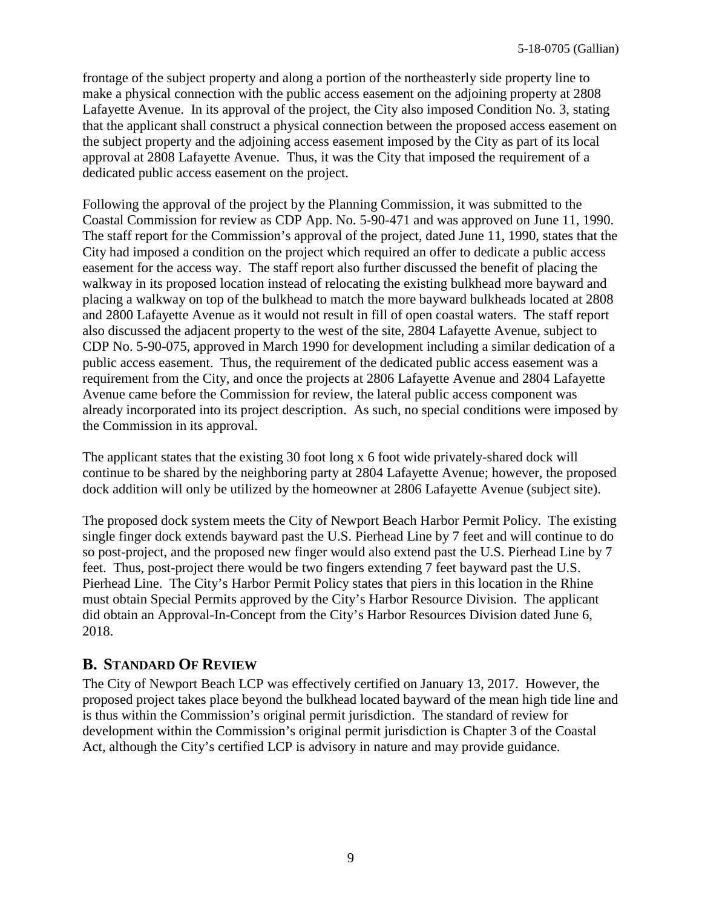frontage of the subject property and along a portion of the northeasterly side property line to make a physical connection with the public access easement on the adjoining property at 2808 Lafayette Avenue. In its approval of the project, the City also imposed Condition No. 3, stating that the applicant shall construct a physical connection between the proposed access easement on the subject property and the adjoining access easement imposed by the City as part of its local approval at 2808 Lafayette Avenue. Thus, it was the City that imposed the requirement of a dedicated public access easement on the project.

Following the approval of the project by the Planning Commission, it was submitted to the Coastal Commission for review as CDP App. No. 5-90-471 and was approved on June 11, 1990. The staff report for the Commission's approval of the project, dated June 11, 1990, states that the City had imposed a condition on the project which required an offer to dedicate a public access easement for the access way. The staff report also further discussed the benefit of placing the walkway in its proposed location instead of relocating the existing bulkhead more bayward and placing a walkway on top of the bulkhead to match the more bayward bulkheads located at 2808 and 2800 Lafayette Avenue as it would not result in fill of open coastal waters. The staff report also discussed the adjacent property to the west of the site, 2804 Lafayette Avenue, subject to CDP No. 5-90-075, approved in March 1990 for development including a similar dedication of a public access easement. Thus, the requirement of the dedicated public access easement was a requirement from the City, and once the projects at 2806 Lafayette Avenue and 2804 Lafayette Avenue came before the Commission for review, the lateral public access component was already incorporated into its project description. As such, no special conditions were imposed by the Commission in its approval.

The applicant states that the existing 30 foot long x 6 foot wide privately-shared dock will continue to be shared by the neighboring party at 2804 Lafayette Avenue; however, the proposed dock addition will only be utilized by the homeowner at 2806 Lafayette Avenue (subject site).

The proposed dock system meets the City of Newport Beach Harbor Permit Policy. The existing single finger dock extends bayward past the U.S. Pierhead Line by 7 feet and will continue to do so post-project, and the proposed new finger would also extend past the U.S. Pierhead Line by 7 feet. Thus, post-project there would be two fingers extending 7 feet bayward past the U.S. Pierhead Line. The City's Harbor Permit Policy states that piers in this location in the Rhine must obtain Special Permits approved by the City's Harbor Resource Division. The applicant did obtain an Approval-In-Concept from the City's Harbor Resources Division dated June 6, 2018.

### <span id="page-8-0"></span>**B. STANDARD OF REVIEW**

The City of Newport Beach LCP was effectively certified on January 13, 2017. However, the proposed project takes place beyond the bulkhead located bayward of the mean high tide line and is thus within the Commission's original permit jurisdiction. The standard of review for development within the Commission's original permit jurisdiction is Chapter 3 of the Coastal Act, although the City's certified LCP is advisory in nature and may provide guidance.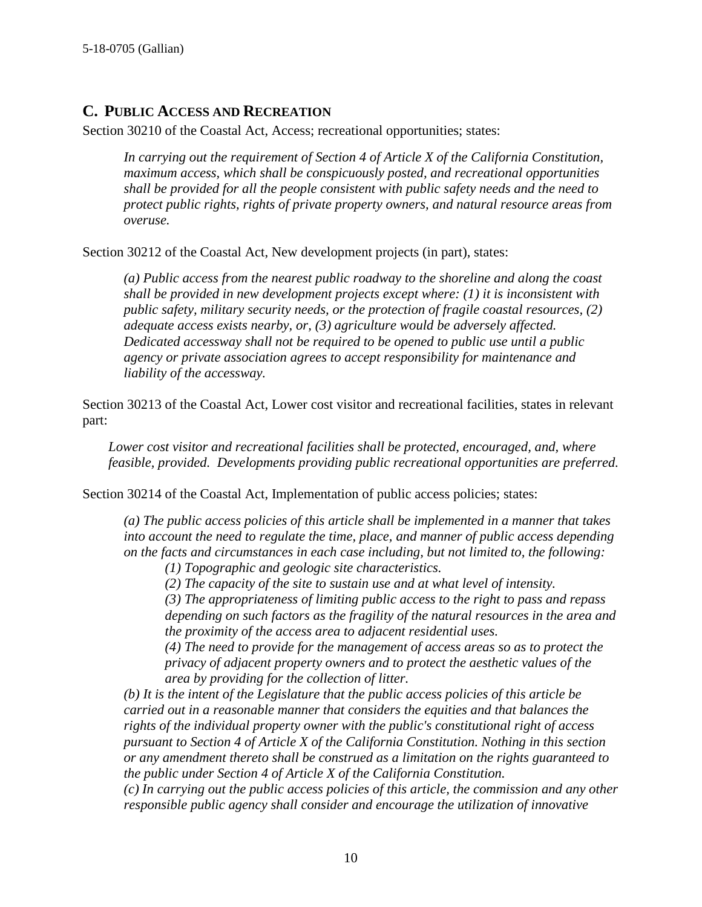#### <span id="page-9-0"></span>**C. PUBLIC ACCESS AND RECREATION**

Section 30210 of the Coastal Act, Access; recreational opportunities; states:

*In carrying out the requirement of Section 4 of Article X of the California Constitution, maximum access, which shall be conspicuously posted, and recreational opportunities shall be provided for all the people consistent with public safety needs and the need to protect public rights, rights of private property owners, and natural resource areas from overuse.*

Section 30212 of the Coastal Act, New development projects (in part), states:

*(a) Public access from the nearest public roadway to the shoreline and along the coast shall be provided in new development projects except where: (1) it is inconsistent with public safety, military security needs, or the protection of fragile coastal resources, (2) adequate access exists nearby, or, (3) agriculture would be adversely affected. Dedicated accessway shall not be required to be opened to public use until a public agency or private association agrees to accept responsibility for maintenance and liability of the accessway.*

Section 30213 of the Coastal Act, Lower cost visitor and recreational facilities, states in relevant part:

*Lower cost visitor and recreational facilities shall be protected, encouraged, and, where feasible, provided. Developments providing public recreational opportunities are preferred.*

Section 30214 of the Coastal Act, Implementation of public access policies; states:

*(a) The public access policies of this article shall be implemented in a manner that takes into account the need to regulate the time, place, and manner of public access depending on the facts and circumstances in each case including, but not limited to, the following:*

*(1) Topographic and geologic site characteristics.*

*(2) The capacity of the site to sustain use and at what level of intensity.*

*(3) The appropriateness of limiting public access to the right to pass and repass depending on such factors as the fragility of the natural resources in the area and the proximity of the access area to adjacent residential uses.*

*(4) The need to provide for the management of access areas so as to protect the privacy of adjacent property owners and to protect the aesthetic values of the area by providing for the collection of litter.*

*(b) It is the intent of the Legislature that the public access policies of this article be carried out in a reasonable manner that considers the equities and that balances the rights of the individual property owner with the public's constitutional right of access pursuant to Section 4 of Article X of the California Constitution. Nothing in this section or any amendment thereto shall be construed as a limitation on the rights guaranteed to the public under Section 4 of Article X of the California Constitution.*

*(c) In carrying out the public access policies of this article, the commission and any other responsible public agency shall consider and encourage the utilization of innovative*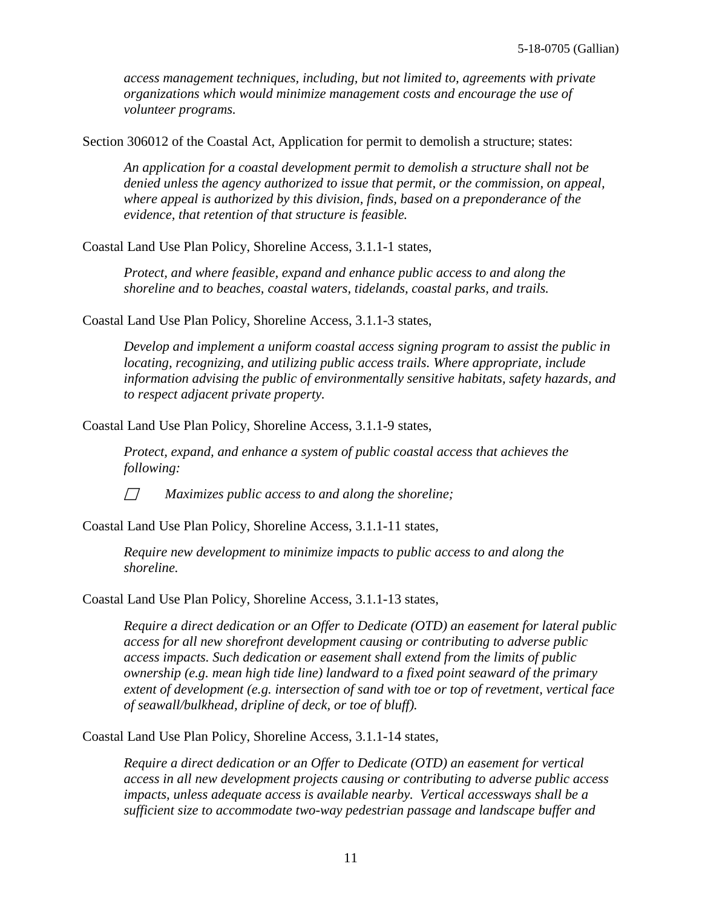*access management techniques, including, but not limited to, agreements with private organizations which would minimize management costs and encourage the use of volunteer programs.*

Section 306012 of the Coastal Act, Application for permit to demolish a structure; states:

*An application for a coastal development permit to demolish a structure shall not be denied unless the agency authorized to issue that permit, or the commission, on appeal, where appeal is authorized by this division, finds, based on a preponderance of the evidence, that retention of that structure is feasible.*

Coastal Land Use Plan Policy, Shoreline Access, 3.1.1-1 states,

*Protect, and where feasible, expand and enhance public access to and along the shoreline and to beaches, coastal waters, tidelands, coastal parks, and trails.*

Coastal Land Use Plan Policy, Shoreline Access, 3.1.1-3 states,

*Develop and implement a uniform coastal access signing program to assist the public in locating, recognizing, and utilizing public access trails. Where appropriate, include information advising the public of environmentally sensitive habitats, safety hazards, and to respect adjacent private property.*

Coastal Land Use Plan Policy, Shoreline Access, 3.1.1-9 states,

*Protect, expand, and enhance a system of public coastal access that achieves the following:*

*Maximizes public access to and along the shoreline;*

Coastal Land Use Plan Policy, Shoreline Access, 3.1.1-11 states,

*Require new development to minimize impacts to public access to and along the shoreline.*

Coastal Land Use Plan Policy, Shoreline Access, 3.1.1-13 states,

*Require a direct dedication or an Offer to Dedicate (OTD) an easement for lateral public access for all new shorefront development causing or contributing to adverse public access impacts. Such dedication or easement shall extend from the limits of public ownership (e.g. mean high tide line) landward to a fixed point seaward of the primary extent of development (e.g. intersection of sand with toe or top of revetment, vertical face of seawall/bulkhead, dripline of deck, or toe of bluff).*

Coastal Land Use Plan Policy, Shoreline Access, 3.1.1-14 states,

*Require a direct dedication or an Offer to Dedicate (OTD) an easement for vertical access in all new development projects causing or contributing to adverse public access impacts, unless adequate access is available nearby. Vertical accessways shall be a sufficient size to accommodate two-way pedestrian passage and landscape buffer and*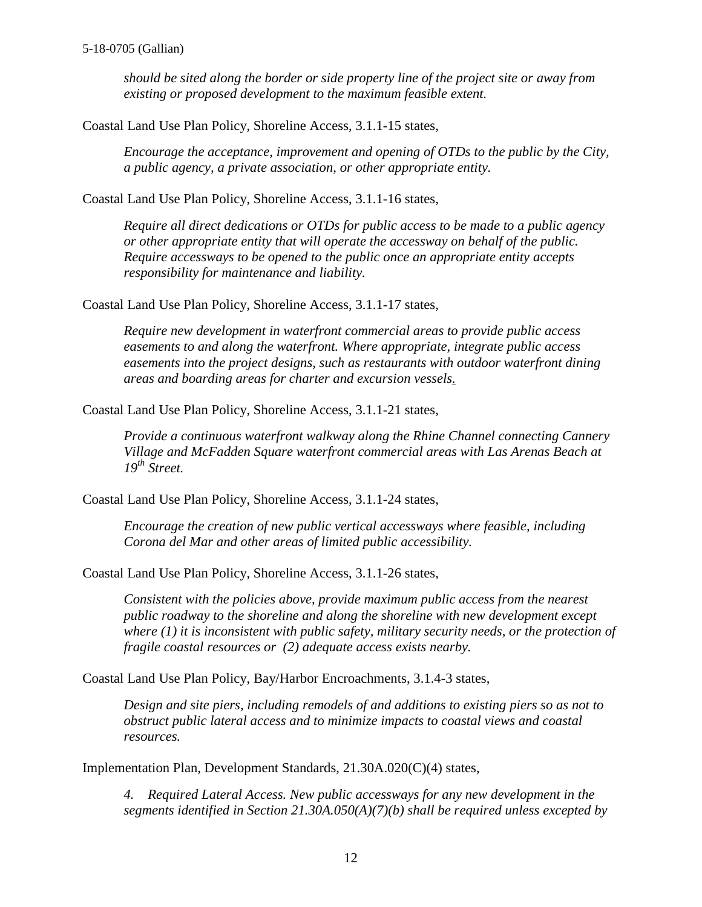*should be sited along the border or side property line of the project site or away from existing or proposed development to the maximum feasible extent.*

Coastal Land Use Plan Policy, Shoreline Access, 3.1.1-15 states,

*Encourage the acceptance, improvement and opening of OTDs to the public by the City, a public agency, a private association, or other appropriate entity.*

Coastal Land Use Plan Policy, Shoreline Access, 3.1.1-16 states,

*Require all direct dedications or OTDs for public access to be made to a public agency or other appropriate entity that will operate the accessway on behalf of the public. Require accessways to be opened to the public once an appropriate entity accepts responsibility for maintenance and liability.*

Coastal Land Use Plan Policy, Shoreline Access, 3.1.1-17 states,

*Require new development in waterfront commercial areas to provide public access easements to and along the waterfront. Where appropriate, integrate public access easements into the project designs, such as restaurants with outdoor waterfront dining areas and boarding areas for charter and excursion vessels.*

Coastal Land Use Plan Policy, Shoreline Access, 3.1.1-21 states,

*Provide a continuous waterfront walkway along the Rhine Channel connecting Cannery Village and McFadden Square waterfront commercial areas with Las Arenas Beach at 19th Street.*

Coastal Land Use Plan Policy, Shoreline Access, 3.1.1-24 states,

*Encourage the creation of new public vertical accessways where feasible, including Corona del Mar and other areas of limited public accessibility.*

Coastal Land Use Plan Policy, Shoreline Access, 3.1.1-26 states,

*Consistent with the policies above, provide maximum public access from the nearest public roadway to the shoreline and along the shoreline with new development except where (1) it is inconsistent with public safety, military security needs, or the protection of fragile coastal resources or (2) adequate access exists nearby.*

Coastal Land Use Plan Policy, Bay/Harbor Encroachments, 3.1.4-3 states,

*Design and site piers, including remodels of and additions to existing piers so as not to obstruct public lateral access and to minimize impacts to coastal views and coastal resources.*

Implementation Plan, Development Standards, 21.30A.020(C)(4) states,

*4. Required Lateral Access. New public accessways for any new development in the segments identified in Section 21.30A.050(A)(7)(b) shall be required unless excepted by*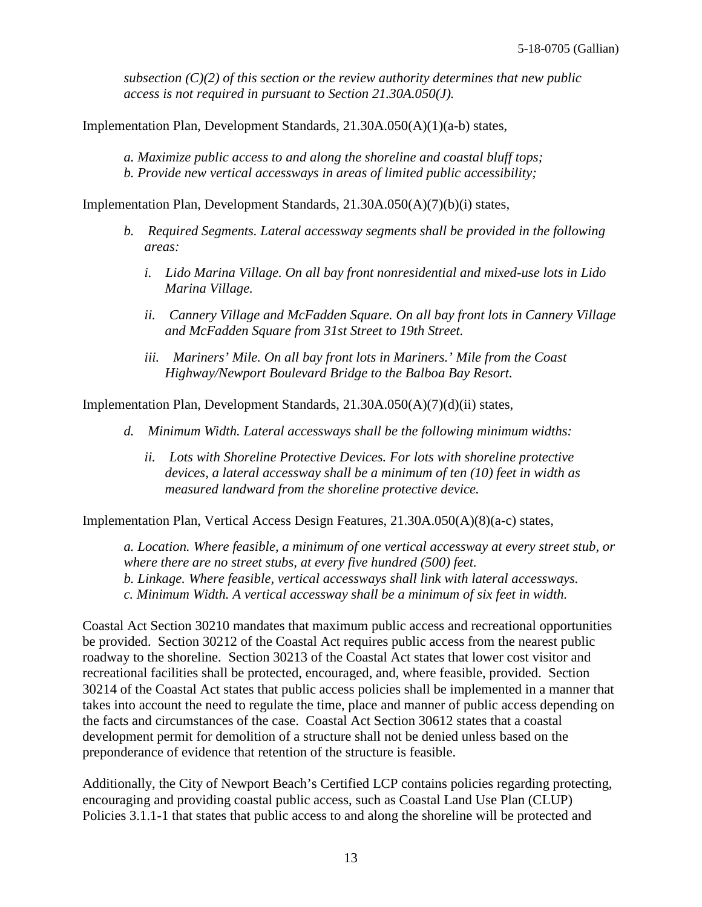*subsection (C)(2) of this section or the review authority determines that new public access is not required in pursuant to Section 21.30A.050(J).*

Implementation Plan, Development Standards, 21.30A.050(A)(1)(a-b) states,

*a. Maximize public access to and along the shoreline and coastal bluff tops; b. Provide new vertical accessways in areas of limited public accessibility;*

Implementation Plan, Development Standards, 21.30A.050(A)(7)(b)(i) states,

- *b. Required Segments. Lateral accessway segments shall be provided in the following areas:*
	- *i. Lido Marina Village. On all bay front nonresidential and mixed-use lots in Lido Marina Village.*
	- *ii. Cannery Village and McFadden Square. On all bay front lots in Cannery Village and McFadden Square from 31st Street to 19th Street.*
	- *iii. Mariners' Mile. On all bay front lots in Mariners.' Mile from the Coast Highway/Newport Boulevard Bridge to the Balboa Bay Resort.*

Implementation Plan, Development Standards, 21.30A.050(A)(7)(d)(ii) states,

- *d. Minimum Width. Lateral accessways shall be the following minimum widths:*
	- *ii. Lots with Shoreline Protective Devices. For lots with shoreline protective devices, a lateral accessway shall be a minimum of ten (10) feet in width as measured landward from the shoreline protective device.*

Implementation Plan, Vertical Access Design Features, 21.30A.050(A)(8)(a-c) states,

*a. Location. Where feasible, a minimum of one vertical accessway at every street stub, or where there are no street stubs, at every five hundred (500) feet. b. Linkage. Where feasible, vertical accessways shall link with lateral accessways. c. Minimum Width. A vertical accessway shall be a minimum of six feet in width.*

Coastal Act Section 30210 mandates that maximum public access and recreational opportunities be provided. Section 30212 of the Coastal Act requires public access from the nearest public roadway to the shoreline. Section 30213 of the Coastal Act states that lower cost visitor and recreational facilities shall be protected, encouraged, and, where feasible, provided. Section 30214 of the Coastal Act states that public access policies shall be implemented in a manner that takes into account the need to regulate the time, place and manner of public access depending on the facts and circumstances of the case. Coastal Act Section 30612 states that a coastal development permit for demolition of a structure shall not be denied unless based on the preponderance of evidence that retention of the structure is feasible.

Additionally, the City of Newport Beach's Certified LCP contains policies regarding protecting, encouraging and providing coastal public access, such as Coastal Land Use Plan (CLUP) Policies 3.1.1-1 that states that public access to and along the shoreline will be protected and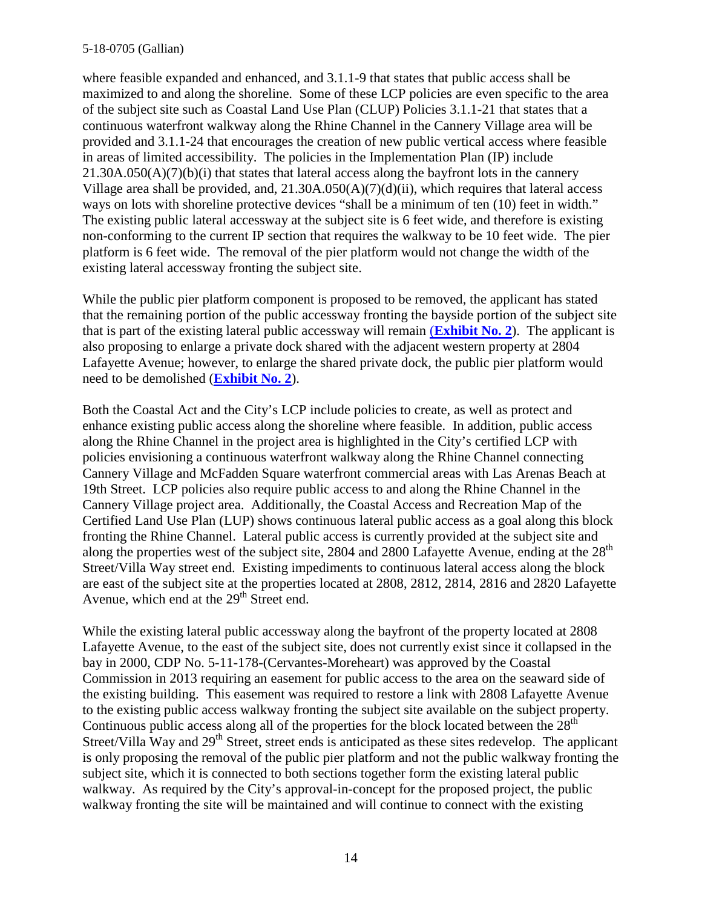#### 5-18-0705 (Gallian)

where feasible expanded and enhanced, and 3.1.1-9 that states that public access shall be maximized to and along the shoreline. Some of these LCP policies are even specific to the area of the subject site such as Coastal Land Use Plan (CLUP) Policies 3.1.1-21 that states that a continuous waterfront walkway along the Rhine Channel in the Cannery Village area will be provided and 3.1.1-24 that encourages the creation of new public vertical access where feasible in areas of limited accessibility. The policies in the Implementation Plan (IP) include  $21.30A.050(A)(7)(b)(i)$  that states that lateral access along the bayfront lots in the cannery Village area shall be provided, and, 21.30A.050(A)(7)(d)(ii), which requires that lateral access ways on lots with shoreline protective devices "shall be a minimum of ten (10) feet in width." The existing public lateral accessway at the subject site is 6 feet wide, and therefore is existing non-conforming to the current IP section that requires the walkway to be 10 feet wide. The pier platform is 6 feet wide. The removal of the pier platform would not change the width of the existing lateral accessway fronting the subject site.

While the public pier platform component is proposed to be removed, the applicant has stated that the remaining portion of the public accessway fronting the bayside portion of the subject site that is part of the existing lateral public accessway will remain (**[Exhibit No. 2](https://documents.coastal.ca.gov/reports/2019/7/W27d/W27d-7-2019-exhibits.pdf)**). The applicant is also proposing to enlarge a private dock shared with the adjacent western property at 2804 Lafayette Avenue; however, to enlarge the shared private dock, the public pier platform would need to be demolished (**[Exhibit No. 2](https://documents.coastal.ca.gov/reports/2019/7/W27d/W27d-7-2019-exhibits.pdf)**).

Both the Coastal Act and the City's LCP include policies to create, as well as protect and enhance existing public access along the shoreline where feasible. In addition, public access along the Rhine Channel in the project area is highlighted in the City's certified LCP with policies envisioning a continuous waterfront walkway along the Rhine Channel connecting Cannery Village and McFadden Square waterfront commercial areas with Las Arenas Beach at 19th Street. LCP policies also require public access to and along the Rhine Channel in the Cannery Village project area. Additionally, the Coastal Access and Recreation Map of the Certified Land Use Plan (LUP) shows continuous lateral public access as a goal along this block fronting the Rhine Channel. Lateral public access is currently provided at the subject site and along the properties west of the subject site, 2804 and 2800 Lafayette Avenue, ending at the 28<sup>th</sup> Street/Villa Way street end. Existing impediments to continuous lateral access along the block are east of the subject site at the properties located at 2808, 2812, 2814, 2816 and 2820 Lafayette Avenue, which end at the 29<sup>th</sup> Street end.

While the existing lateral public accessway along the bayfront of the property located at 2808 Lafayette Avenue, to the east of the subject site, does not currently exist since it collapsed in the bay in 2000, CDP No. 5-11-178-(Cervantes-Moreheart) was approved by the Coastal Commission in 2013 requiring an easement for public access to the area on the seaward side of the existing building. This easement was required to restore a link with 2808 Lafayette Avenue to the existing public access walkway fronting the subject site available on the subject property. Continuous public access along all of the properties for the block located between the  $28<sup>th</sup>$ Street/Villa Way and 29<sup>th</sup> Street, street ends is anticipated as these sites redevelop. The applicant is only proposing the removal of the public pier platform and not the public walkway fronting the subject site, which it is connected to both sections together form the existing lateral public walkway. As required by the City's approval-in-concept for the proposed project, the public walkway fronting the site will be maintained and will continue to connect with the existing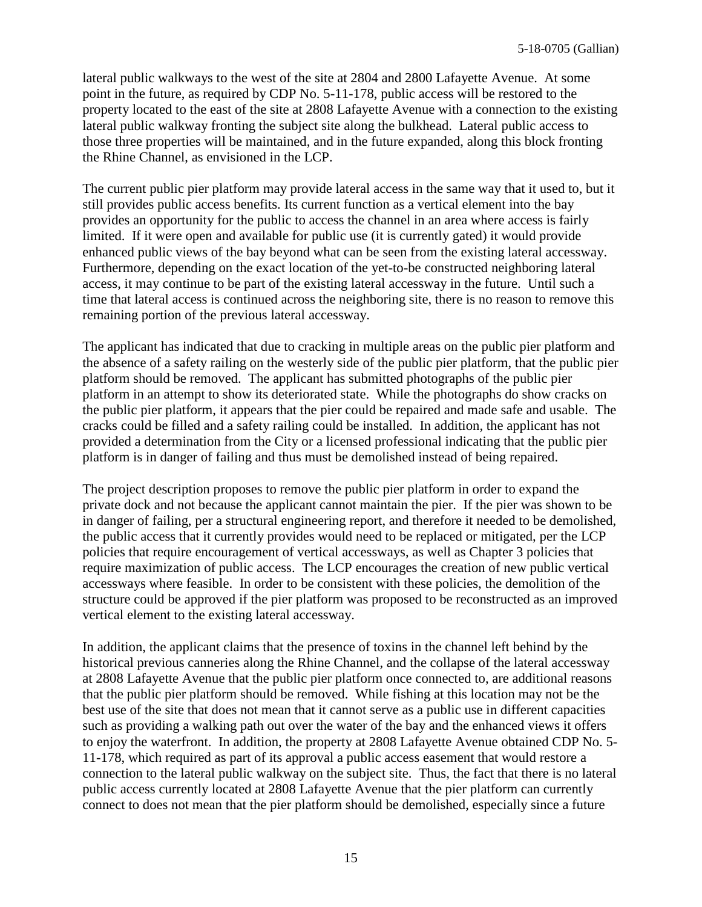lateral public walkways to the west of the site at 2804 and 2800 Lafayette Avenue. At some point in the future, as required by CDP No. 5-11-178, public access will be restored to the property located to the east of the site at 2808 Lafayette Avenue with a connection to the existing lateral public walkway fronting the subject site along the bulkhead. Lateral public access to those three properties will be maintained, and in the future expanded, along this block fronting the Rhine Channel, as envisioned in the LCP.

The current public pier platform may provide lateral access in the same way that it used to, but it still provides public access benefits. Its current function as a vertical element into the bay provides an opportunity for the public to access the channel in an area where access is fairly limited. If it were open and available for public use (it is currently gated) it would provide enhanced public views of the bay beyond what can be seen from the existing lateral accessway. Furthermore, depending on the exact location of the yet-to-be constructed neighboring lateral access, it may continue to be part of the existing lateral accessway in the future. Until such a time that lateral access is continued across the neighboring site, there is no reason to remove this remaining portion of the previous lateral accessway.

The applicant has indicated that due to cracking in multiple areas on the public pier platform and the absence of a safety railing on the westerly side of the public pier platform, that the public pier platform should be removed. The applicant has submitted photographs of the public pier platform in an attempt to show its deteriorated state. While the photographs do show cracks on the public pier platform, it appears that the pier could be repaired and made safe and usable. The cracks could be filled and a safety railing could be installed. In addition, the applicant has not provided a determination from the City or a licensed professional indicating that the public pier platform is in danger of failing and thus must be demolished instead of being repaired.

The project description proposes to remove the public pier platform in order to expand the private dock and not because the applicant cannot maintain the pier. If the pier was shown to be in danger of failing, per a structural engineering report, and therefore it needed to be demolished, the public access that it currently provides would need to be replaced or mitigated, per the LCP policies that require encouragement of vertical accessways, as well as Chapter 3 policies that require maximization of public access. The LCP encourages the creation of new public vertical accessways where feasible. In order to be consistent with these policies, the demolition of the structure could be approved if the pier platform was proposed to be reconstructed as an improved vertical element to the existing lateral accessway.

In addition, the applicant claims that the presence of toxins in the channel left behind by the historical previous canneries along the Rhine Channel, and the collapse of the lateral accessway at 2808 Lafayette Avenue that the public pier platform once connected to, are additional reasons that the public pier platform should be removed. While fishing at this location may not be the best use of the site that does not mean that it cannot serve as a public use in different capacities such as providing a walking path out over the water of the bay and the enhanced views it offers to enjoy the waterfront. In addition, the property at 2808 Lafayette Avenue obtained CDP No. 5- 11-178, which required as part of its approval a public access easement that would restore a connection to the lateral public walkway on the subject site. Thus, the fact that there is no lateral public access currently located at 2808 Lafayette Avenue that the pier platform can currently connect to does not mean that the pier platform should be demolished, especially since a future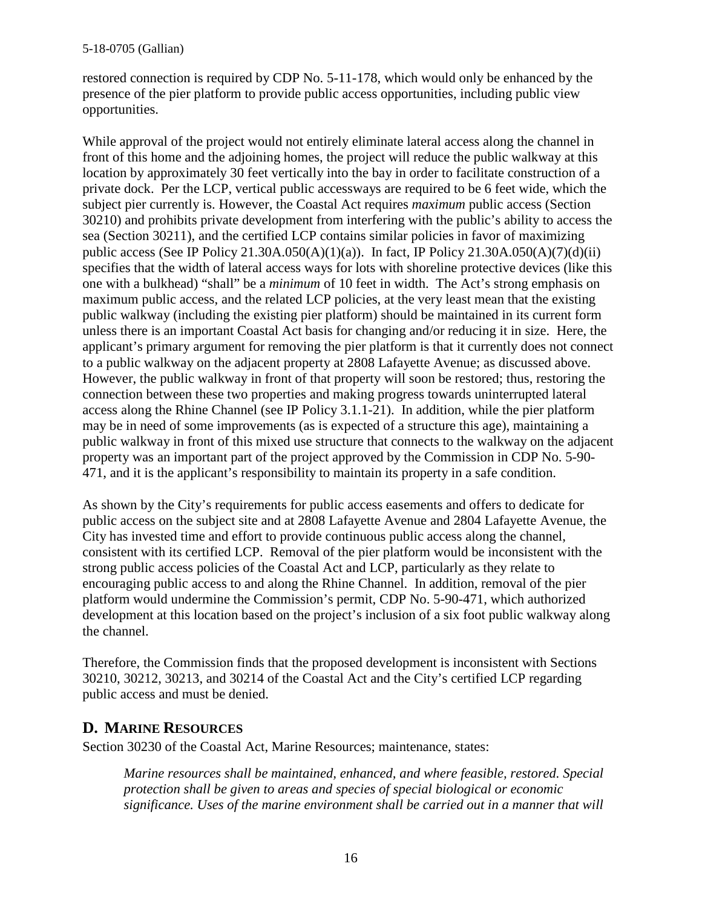restored connection is required by CDP No. 5-11-178, which would only be enhanced by the presence of the pier platform to provide public access opportunities, including public view opportunities.

While approval of the project would not entirely eliminate lateral access along the channel in front of this home and the adjoining homes, the project will reduce the public walkway at this location by approximately 30 feet vertically into the bay in order to facilitate construction of a private dock. Per the LCP, vertical public accessways are required to be 6 feet wide, which the subject pier currently is. However, the Coastal Act requires *maximum* public access (Section 30210) and prohibits private development from interfering with the public's ability to access the sea (Section 30211), and the certified LCP contains similar policies in favor of maximizing public access (See IP Policy 21.30A.050(A)(1)(a)). In fact, IP Policy 21.30A.050(A)(7)(d)(ii) specifies that the width of lateral access ways for lots with shoreline protective devices (like this one with a bulkhead) "shall" be a *minimum* of 10 feet in width. The Act's strong emphasis on maximum public access, and the related LCP policies, at the very least mean that the existing public walkway (including the existing pier platform) should be maintained in its current form unless there is an important Coastal Act basis for changing and/or reducing it in size. Here, the applicant's primary argument for removing the pier platform is that it currently does not connect to a public walkway on the adjacent property at 2808 Lafayette Avenue; as discussed above. However, the public walkway in front of that property will soon be restored; thus, restoring the connection between these two properties and making progress towards uninterrupted lateral access along the Rhine Channel (see IP Policy 3.1.1-21). In addition, while the pier platform may be in need of some improvements (as is expected of a structure this age), maintaining a public walkway in front of this mixed use structure that connects to the walkway on the adjacent property was an important part of the project approved by the Commission in CDP No. 5-90- 471, and it is the applicant's responsibility to maintain its property in a safe condition.

As shown by the City's requirements for public access easements and offers to dedicate for public access on the subject site and at 2808 Lafayette Avenue and 2804 Lafayette Avenue, the City has invested time and effort to provide continuous public access along the channel, consistent with its certified LCP. Removal of the pier platform would be inconsistent with the strong public access policies of the Coastal Act and LCP, particularly as they relate to encouraging public access to and along the Rhine Channel. In addition, removal of the pier platform would undermine the Commission's permit, CDP No. 5-90-471, which authorized development at this location based on the project's inclusion of a six foot public walkway along the channel.

Therefore, the Commission finds that the proposed development is inconsistent with Sections 30210, 30212, 30213, and 30214 of the Coastal Act and the City's certified LCP regarding public access and must be denied.

#### <span id="page-15-0"></span>**D. MARINE RESOURCES**

Section 30230 of the Coastal Act, Marine Resources; maintenance, states:

*Marine resources shall be maintained, enhanced, and where feasible, restored. Special protection shall be given to areas and species of special biological or economic significance. Uses of the marine environment shall be carried out in a manner that will*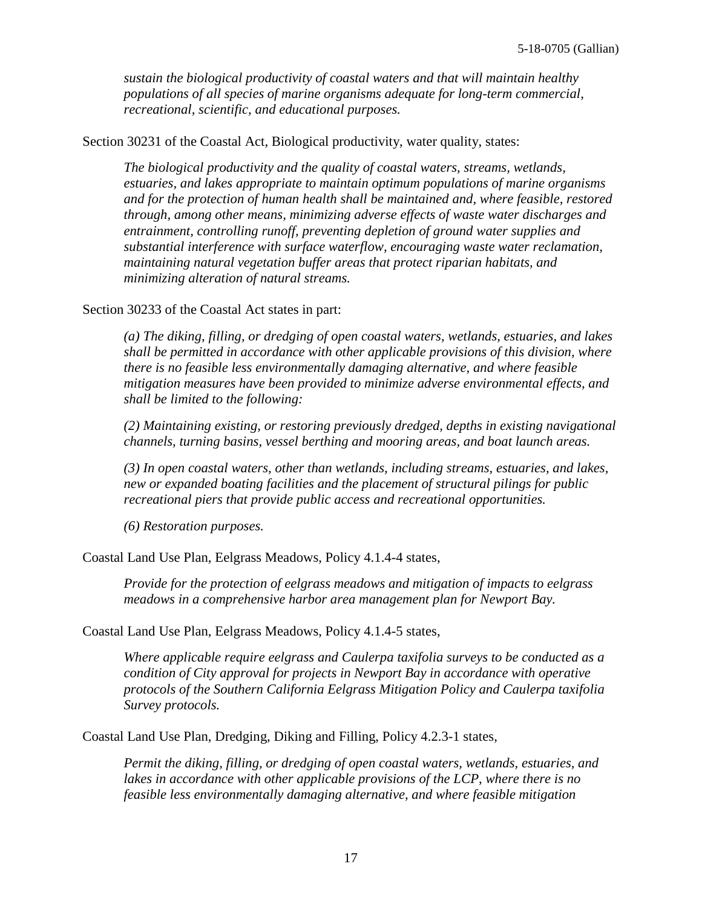*sustain the biological productivity of coastal waters and that will maintain healthy populations of all species of marine organisms adequate for long-term commercial, recreational, scientific, and educational purposes.*

Section 30231 of the Coastal Act, Biological productivity, water quality, states:

*The biological productivity and the quality of coastal waters, streams, wetlands, estuaries, and lakes appropriate to maintain optimum populations of marine organisms and for the protection of human health shall be maintained and, where feasible, restored through, among other means, minimizing adverse effects of waste water discharges and entrainment, controlling runoff, preventing depletion of ground water supplies and substantial interference with surface waterflow, encouraging waste water reclamation, maintaining natural vegetation buffer areas that protect riparian habitats, and minimizing alteration of natural streams.*

Section 30233 of the Coastal Act states in part:

*(a) The diking, filling, or dredging of open coastal waters, wetlands, estuaries, and lakes shall be permitted in accordance with other applicable provisions of this division, where there is no feasible less environmentally damaging alternative, and where feasible mitigation measures have been provided to minimize adverse environmental effects, and shall be limited to the following:*

*(2) Maintaining existing, or restoring previously dredged, depths in existing navigational channels, turning basins, vessel berthing and mooring areas, and boat launch areas.*

*(3) In open coastal waters, other than wetlands, including streams, estuaries, and lakes, new or expanded boating facilities and the placement of structural pilings for public recreational piers that provide public access and recreational opportunities.*

*(6) Restoration purposes.*

Coastal Land Use Plan, Eelgrass Meadows, Policy 4.1.4-4 states,

*Provide for the protection of eelgrass meadows and mitigation of impacts to eelgrass meadows in a comprehensive harbor area management plan for Newport Bay.*

Coastal Land Use Plan, Eelgrass Meadows, Policy 4.1.4-5 states,

*Where applicable require eelgrass and Caulerpa taxifolia surveys to be conducted as a condition of City approval for projects in Newport Bay in accordance with operative protocols of the Southern California Eelgrass Mitigation Policy and Caulerpa taxifolia Survey protocols.*

Coastal Land Use Plan, Dredging, Diking and Filling, Policy 4.2.3-1 states,

*Permit the diking, filling, or dredging of open coastal waters, wetlands, estuaries, and lakes in accordance with other applicable provisions of the LCP, where there is no feasible less environmentally damaging alternative, and where feasible mitigation*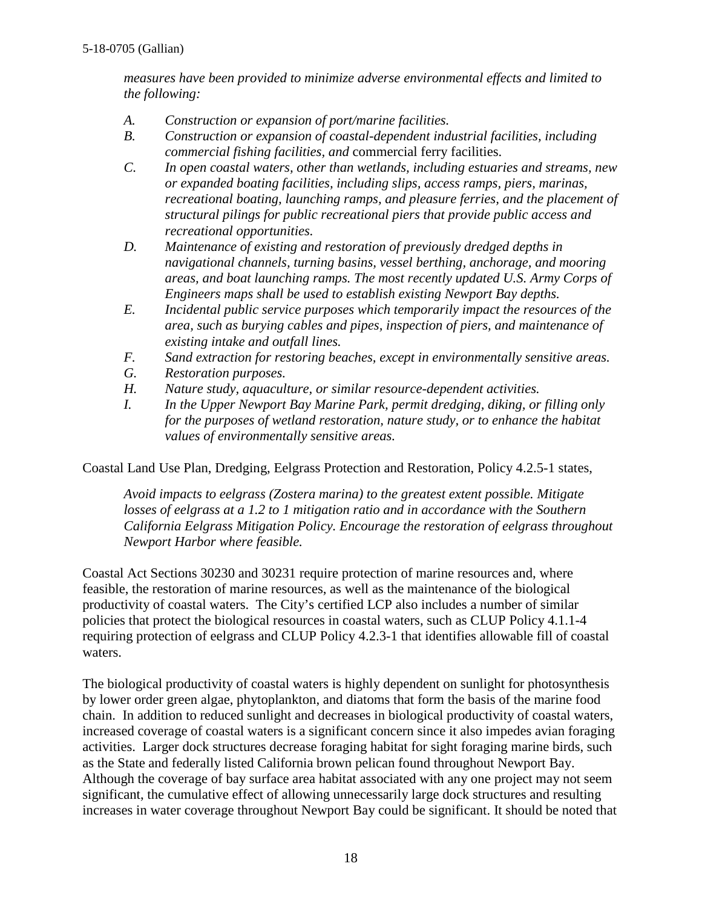*measures have been provided to minimize adverse environmental effects and limited to the following:*

- *A. Construction or expansion of port/marine facilities.*
- *B. Construction or expansion of coastal-dependent industrial facilities, including commercial fishing facilities, and* commercial ferry facilities.
- *C. In open coastal waters, other than wetlands, including estuaries and streams, new or expanded boating facilities, including slips, access ramps, piers, marinas, recreational boating, launching ramps, and pleasure ferries, and the placement of structural pilings for public recreational piers that provide public access and recreational opportunities.*
- *D. Maintenance of existing and restoration of previously dredged depths in navigational channels, turning basins, vessel berthing, anchorage, and mooring areas, and boat launching ramps. The most recently updated U.S. Army Corps of Engineers maps shall be used to establish existing Newport Bay depths.*
- *E. Incidental public service purposes which temporarily impact the resources of the area, such as burying cables and pipes, inspection of piers, and maintenance of existing intake and outfall lines.*
- *F. Sand extraction for restoring beaches, except in environmentally sensitive areas.*
- *G. Restoration purposes.*
- *H. Nature study, aquaculture, or similar resource-dependent activities.*
- *I. In the Upper Newport Bay Marine Park, permit dredging, diking, or filling only for the purposes of wetland restoration, nature study, or to enhance the habitat values of environmentally sensitive areas.*

Coastal Land Use Plan, Dredging, Eelgrass Protection and Restoration, Policy 4.2.5-1 states,

*Avoid impacts to eelgrass (Zostera marina) to the greatest extent possible. Mitigate losses of eelgrass at a 1.2 to 1 mitigation ratio and in accordance with the Southern California Eelgrass Mitigation Policy. Encourage the restoration of eelgrass throughout Newport Harbor where feasible.*

Coastal Act Sections 30230 and 30231 require protection of marine resources and, where feasible, the restoration of marine resources, as well as the maintenance of the biological productivity of coastal waters. The City's certified LCP also includes a number of similar policies that protect the biological resources in coastal waters, such as CLUP Policy 4.1.1-4 requiring protection of eelgrass and CLUP Policy 4.2.3-1 that identifies allowable fill of coastal waters.

The biological productivity of coastal waters is highly dependent on sunlight for photosynthesis by lower order green algae, phytoplankton, and diatoms that form the basis of the marine food chain. In addition to reduced sunlight and decreases in biological productivity of coastal waters, increased coverage of coastal waters is a significant concern since it also impedes avian foraging activities. Larger dock structures decrease foraging habitat for sight foraging marine birds, such as the State and federally listed California brown pelican found throughout Newport Bay. Although the coverage of bay surface area habitat associated with any one project may not seem significant, the cumulative effect of allowing unnecessarily large dock structures and resulting increases in water coverage throughout Newport Bay could be significant. It should be noted that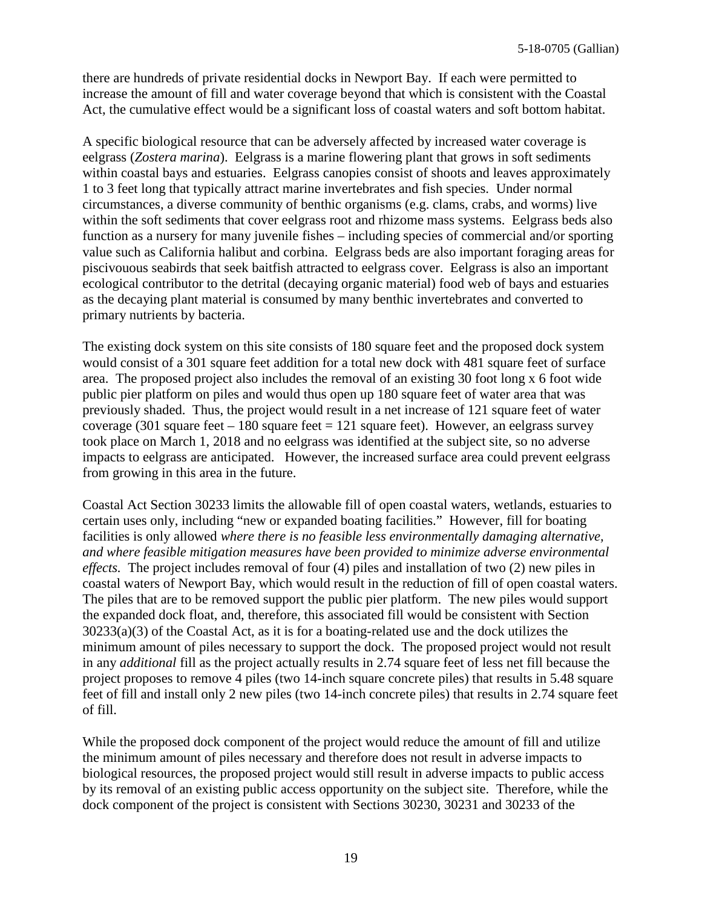there are hundreds of private residential docks in Newport Bay. If each were permitted to increase the amount of fill and water coverage beyond that which is consistent with the Coastal Act, the cumulative effect would be a significant loss of coastal waters and soft bottom habitat.

A specific biological resource that can be adversely affected by increased water coverage is eelgrass (*Zostera marina*). Eelgrass is a marine flowering plant that grows in soft sediments within coastal bays and estuaries. Eelgrass canopies consist of shoots and leaves approximately 1 to 3 feet long that typically attract marine invertebrates and fish species. Under normal circumstances, a diverse community of benthic organisms (e.g. clams, crabs, and worms) live within the soft sediments that cover eelgrass root and rhizome mass systems. Eelgrass beds also function as a nursery for many juvenile fishes – including species of commercial and/or sporting value such as California halibut and corbina. Eelgrass beds are also important foraging areas for piscivouous seabirds that seek baitfish attracted to eelgrass cover. Eelgrass is also an important ecological contributor to the detrital (decaying organic material) food web of bays and estuaries as the decaying plant material is consumed by many benthic invertebrates and converted to primary nutrients by bacteria.

The existing dock system on this site consists of 180 square feet and the proposed dock system would consist of a 301 square feet addition for a total new dock with 481 square feet of surface area. The proposed project also includes the removal of an existing 30 foot long x 6 foot wide public pier platform on piles and would thus open up 180 square feet of water area that was previously shaded. Thus, the project would result in a net increase of 121 square feet of water coverage (301 square feet – 180 square feet = 121 square feet). However, an eelgrass survey took place on March 1, 2018 and no eelgrass was identified at the subject site, so no adverse impacts to eelgrass are anticipated. However, the increased surface area could prevent eelgrass from growing in this area in the future.

Coastal Act Section 30233 limits the allowable fill of open coastal waters, wetlands, estuaries to certain uses only, including "new or expanded boating facilities." However, fill for boating facilities is only allowed *where there is no feasible less environmentally damaging alternative, and where feasible mitigation measures have been provided to minimize adverse environmental effects.* The project includes removal of four (4) piles and installation of two (2) new piles in coastal waters of Newport Bay, which would result in the reduction of fill of open coastal waters. The piles that are to be removed support the public pier platform. The new piles would support the expanded dock float, and, therefore, this associated fill would be consistent with Section 30233(a)(3) of the Coastal Act, as it is for a boating-related use and the dock utilizes the minimum amount of piles necessary to support the dock. The proposed project would not result in any *additional* fill as the project actually results in 2.74 square feet of less net fill because the project proposes to remove 4 piles (two 14-inch square concrete piles) that results in 5.48 square feet of fill and install only 2 new piles (two 14-inch concrete piles) that results in 2.74 square feet of fill.

While the proposed dock component of the project would reduce the amount of fill and utilize the minimum amount of piles necessary and therefore does not result in adverse impacts to biological resources, the proposed project would still result in adverse impacts to public access by its removal of an existing public access opportunity on the subject site. Therefore, while the dock component of the project is consistent with Sections 30230, 30231 and 30233 of the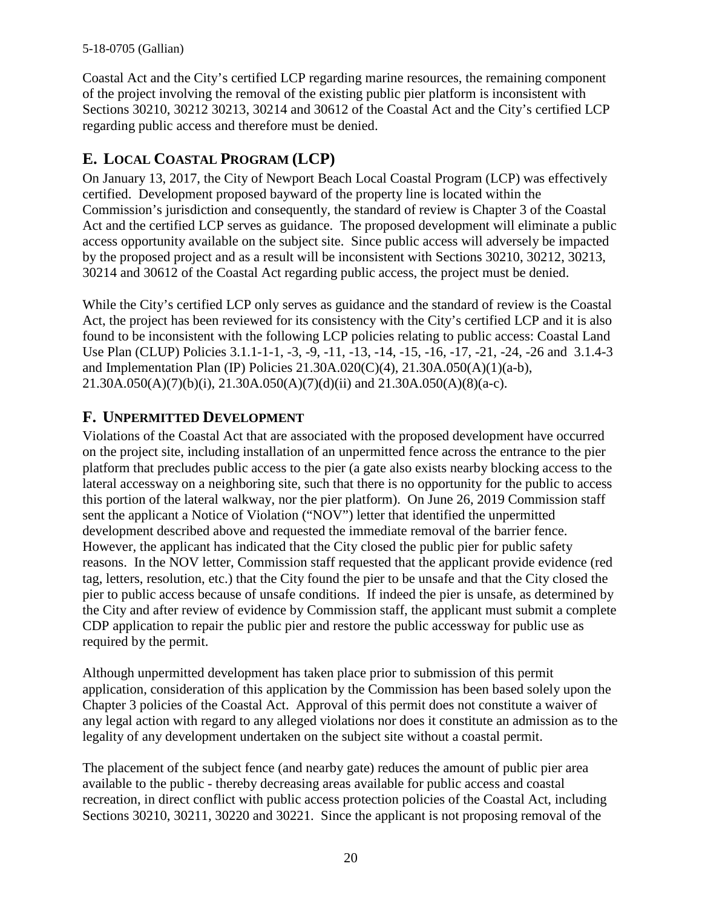Coastal Act and the City's certified LCP regarding marine resources, the remaining component of the project involving the removal of the existing public pier platform is inconsistent with Sections 30210, 30212 30213, 30214 and 30612 of the Coastal Act and the City's certified LCP regarding public access and therefore must be denied.

## <span id="page-19-0"></span>**E. LOCAL COASTAL PROGRAM (LCP)**

On January 13, 2017, the City of Newport Beach Local Coastal Program (LCP) was effectively certified. Development proposed bayward of the property line is located within the Commission's jurisdiction and consequently, the standard of review is Chapter 3 of the Coastal Act and the certified LCP serves as guidance. The proposed development will eliminate a public access opportunity available on the subject site. Since public access will adversely be impacted by the proposed project and as a result will be inconsistent with Sections 30210, 30212, 30213, 30214 and 30612 of the Coastal Act regarding public access, the project must be denied.

While the City's certified LCP only serves as guidance and the standard of review is the Coastal Act, the project has been reviewed for its consistency with the City's certified LCP and it is also found to be inconsistent with the following LCP policies relating to public access: Coastal Land Use Plan (CLUP) Policies 3.1.1-1-1, -3, -9, -11, -13, -14, -15, -16, -17, -21, -24, -26 and 3.1.4-3 and Implementation Plan (IP) Policies 21.30A.020(C)(4), 21.30A.050(A)(1)(a-b),  $21.30A.050(A)(7)(b)(i)$ ,  $21.30A.050(A)(7)(d)(ii)$  and  $21.30A.050(A)(8)(a-c)$ .

## <span id="page-19-1"></span>**F. UNPERMITTED DEVELOPMENT**

Violations of the Coastal Act that are associated with the proposed development have occurred on the project site, including installation of an unpermitted fence across the entrance to the pier platform that precludes public access to the pier (a gate also exists nearby blocking access to the lateral accessway on a neighboring site, such that there is no opportunity for the public to access this portion of the lateral walkway, nor the pier platform). On June 26, 2019 Commission staff sent the applicant a Notice of Violation ("NOV") letter that identified the unpermitted development described above and requested the immediate removal of the barrier fence. However, the applicant has indicated that the City closed the public pier for public safety reasons. In the NOV letter, Commission staff requested that the applicant provide evidence (red tag, letters, resolution, etc.) that the City found the pier to be unsafe and that the City closed the pier to public access because of unsafe conditions. If indeed the pier is unsafe, as determined by the City and after review of evidence by Commission staff, the applicant must submit a complete CDP application to repair the public pier and restore the public accessway for public use as required by the permit.

Although unpermitted development has taken place prior to submission of this permit application, consideration of this application by the Commission has been based solely upon the Chapter 3 policies of the Coastal Act. Approval of this permit does not constitute a waiver of any legal action with regard to any alleged violations nor does it constitute an admission as to the legality of any development undertaken on the subject site without a coastal permit.

The placement of the subject fence (and nearby gate) reduces the amount of public pier area available to the public - thereby decreasing areas available for public access and coastal recreation, in direct conflict with public access protection policies of the Coastal Act, including Sections 30210, 30211, 30220 and 30221. Since the applicant is not proposing removal of the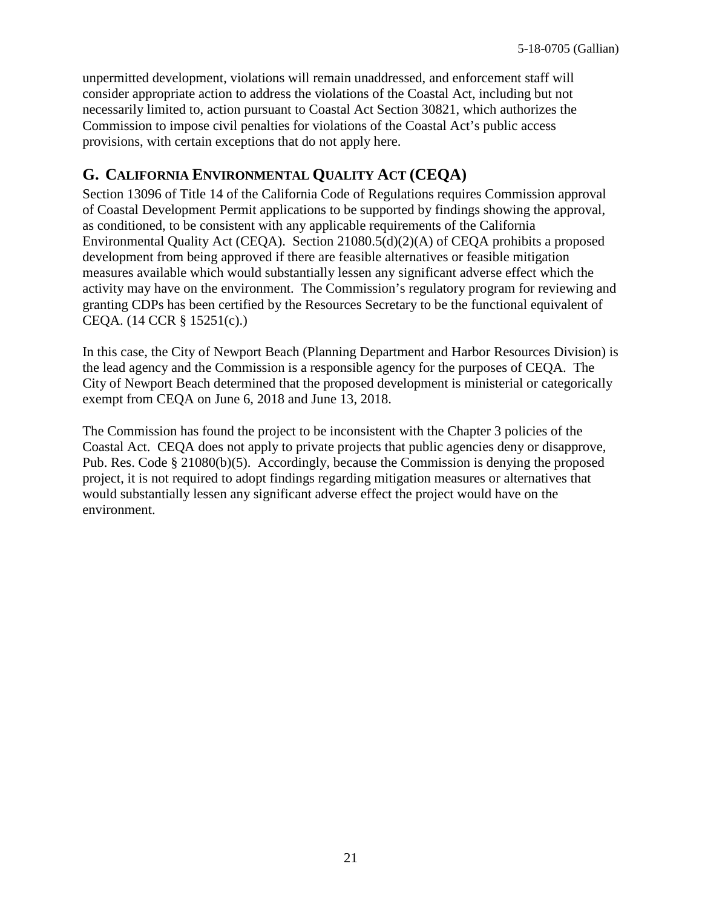unpermitted development, violations will remain unaddressed, and enforcement staff will consider appropriate action to address the violations of the Coastal Act, including but not necessarily limited to, action pursuant to Coastal Act Section 30821, which authorizes the Commission to impose civil penalties for violations of the Coastal Act's public access provisions, with certain exceptions that do not apply here.

## <span id="page-20-0"></span>**G. CALIFORNIA ENVIRONMENTAL QUALITY ACT (CEQA)**

Section 13096 of Title 14 of the California Code of Regulations requires Commission approval of Coastal Development Permit applications to be supported by findings showing the approval, as conditioned, to be consistent with any applicable requirements of the California Environmental Quality Act (CEQA). Section 21080.5(d)(2)(A) of CEQA prohibits a proposed development from being approved if there are feasible alternatives or feasible mitigation measures available which would substantially lessen any significant adverse effect which the activity may have on the environment. The Commission's regulatory program for reviewing and granting CDPs has been certified by the Resources Secretary to be the functional equivalent of CEQA. (14 CCR § 15251(c).)

In this case, the City of Newport Beach (Planning Department and Harbor Resources Division) is the lead agency and the Commission is a responsible agency for the purposes of CEQA. The City of Newport Beach determined that the proposed development is ministerial or categorically exempt from CEQA on June 6, 2018 and June 13, 2018.

The Commission has found the project to be inconsistent with the Chapter 3 policies of the Coastal Act. CEQA does not apply to private projects that public agencies deny or disapprove, Pub. Res. Code § 21080(b)(5). Accordingly, because the Commission is denying the proposed project, it is not required to adopt findings regarding mitigation measures or alternatives that would substantially lessen any significant adverse effect the project would have on the environment.